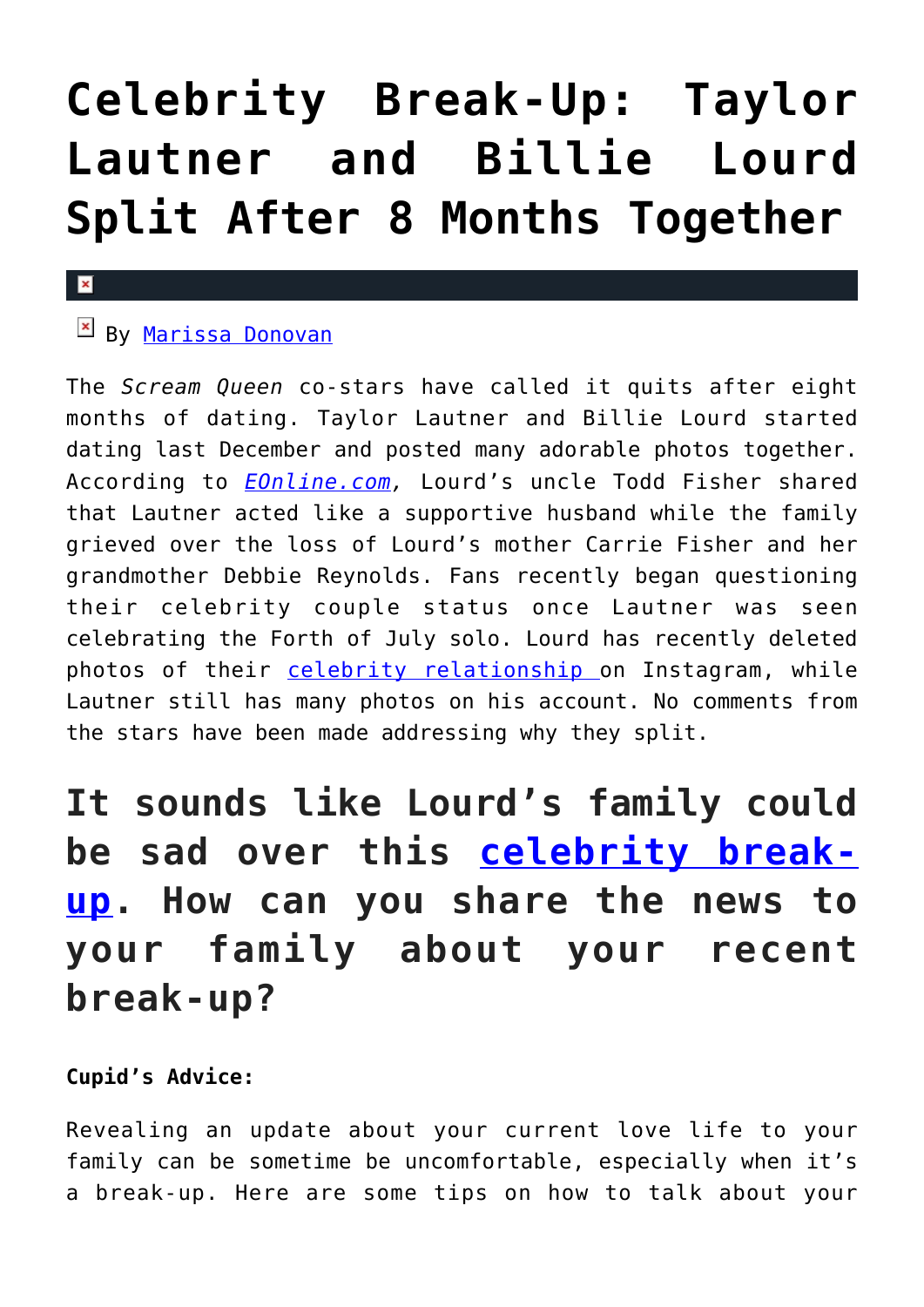# **[Celebrity Break-Up: Taylor](https://cupidspulse.com/119644/celebrity-break-up-taylor-lautner-and-billie-lourd-split/) [Lautner and Billie Lourd](https://cupidspulse.com/119644/celebrity-break-up-taylor-lautner-and-billie-lourd-split/) [Split After 8 Months Together](https://cupidspulse.com/119644/celebrity-break-up-taylor-lautner-and-billie-lourd-split/)**

#### $\mathbf x$

## **E** By [Marissa Donovan](http://cupidspulse.com/118743/marissa-donovan/)

The *Scream Queen* co-stars have called it quits after eight months of dating. Taylor Lautner and Billie Lourd started dating last December and posted many adorable photos together. According to *[EOnline.com](http://www.eonline.com/news/865395/billie-lourd-and-taylor-lautner-break-up-after-8-months-of-dating),* Lourd's uncle Todd Fisher shared that Lautner acted like a supportive husband while the family grieved over the loss of Lourd's mother Carrie Fisher and her grandmother Debbie Reynolds. Fans recently began questioning their celebrity couple status once Lautner was seen celebrating the Forth of July solo. Lourd has recently deleted photos of their [celebrity relationship](http://cupidspulse.com/celebrity-news/celebrity-dating/) on Instagram, while Lautner still has many photos on his account. No comments from the stars have been made addressing why they split.

# **It sounds like Lourd's family could be sad over this [celebrity break](http://cupidspulse.com/celebrity-news/celebrity-break-ups/)[up.](http://cupidspulse.com/celebrity-news/celebrity-break-ups/) How can you share the news to your family about your recent break-up?**

#### **Cupid's Advice:**

Revealing an update about your current love life to your family can be sometime be uncomfortable, especially when it's a break-up. Here are some tips on how to talk about your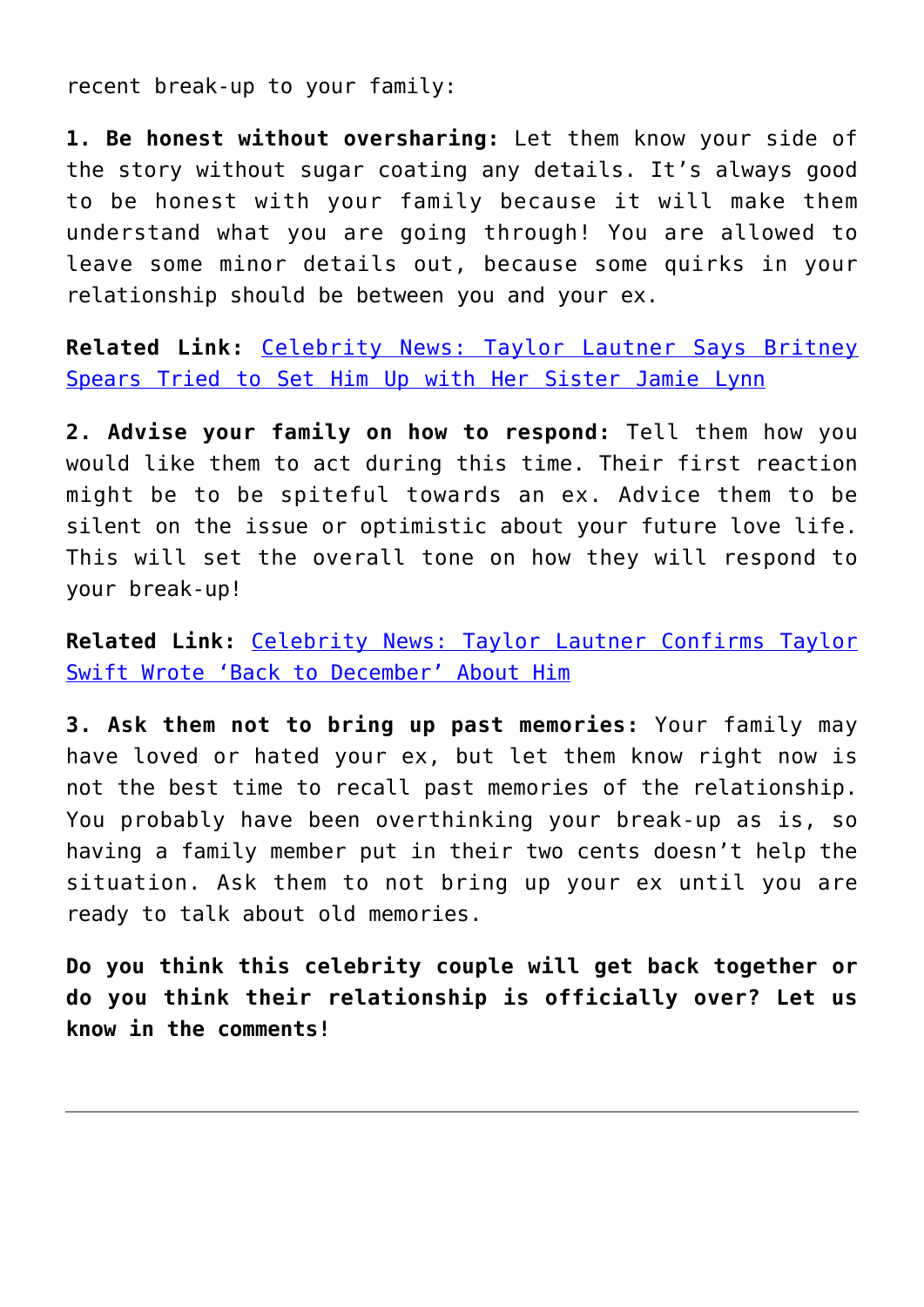recent break-up to your family:

**1. Be honest without oversharing:** Let them know your side of the story without sugar coating any details. It's always good to be honest with your family because it will make them understand what you are going through! You are allowed to leave some minor details out, because some quirks in your relationship should be between you and your ex.

**Related Link:** [Celebrity News: Taylor Lautner Says Britney](http://cupidspulse.com/114855/celebrity-news-taylor-lautner-britney-spears-set-up-jamie-lynn/) [Spears Tried to Set Him Up with Her Sister Jamie Lynn](http://cupidspulse.com/114855/celebrity-news-taylor-lautner-britney-spears-set-up-jamie-lynn/)

**2. Advise your family on how to respond:** Tell them how you would like them to act during this time. Their first reaction might be to be spiteful towards an ex. Advice them to be silent on the issue or optimistic about your future love life. This will set the overall tone on how they will respond to your break-up!

**Related Link:** [Celebrity News: Taylor Lautner Confirms Taylor](http://cupidspulse.com/113150/celebrity-news-taylor-lautner-confirms-taylor-swift-wrote-back-to-december-about-him/) [Swift Wrote 'Back to December' About Him](http://cupidspulse.com/113150/celebrity-news-taylor-lautner-confirms-taylor-swift-wrote-back-to-december-about-him/)

**3. Ask them not to bring up past memories:** Your family may have loved or hated your ex, but let them know right now is not the best time to recall past memories of the relationship. You probably have been overthinking your break-up as is, so having a family member put in their two cents doesn't help the situation. Ask them to not bring up your ex until you are ready to talk about old memories.

**Do you think this celebrity couple will get back together or do you think their relationship is officially over? Let us know in the comments!**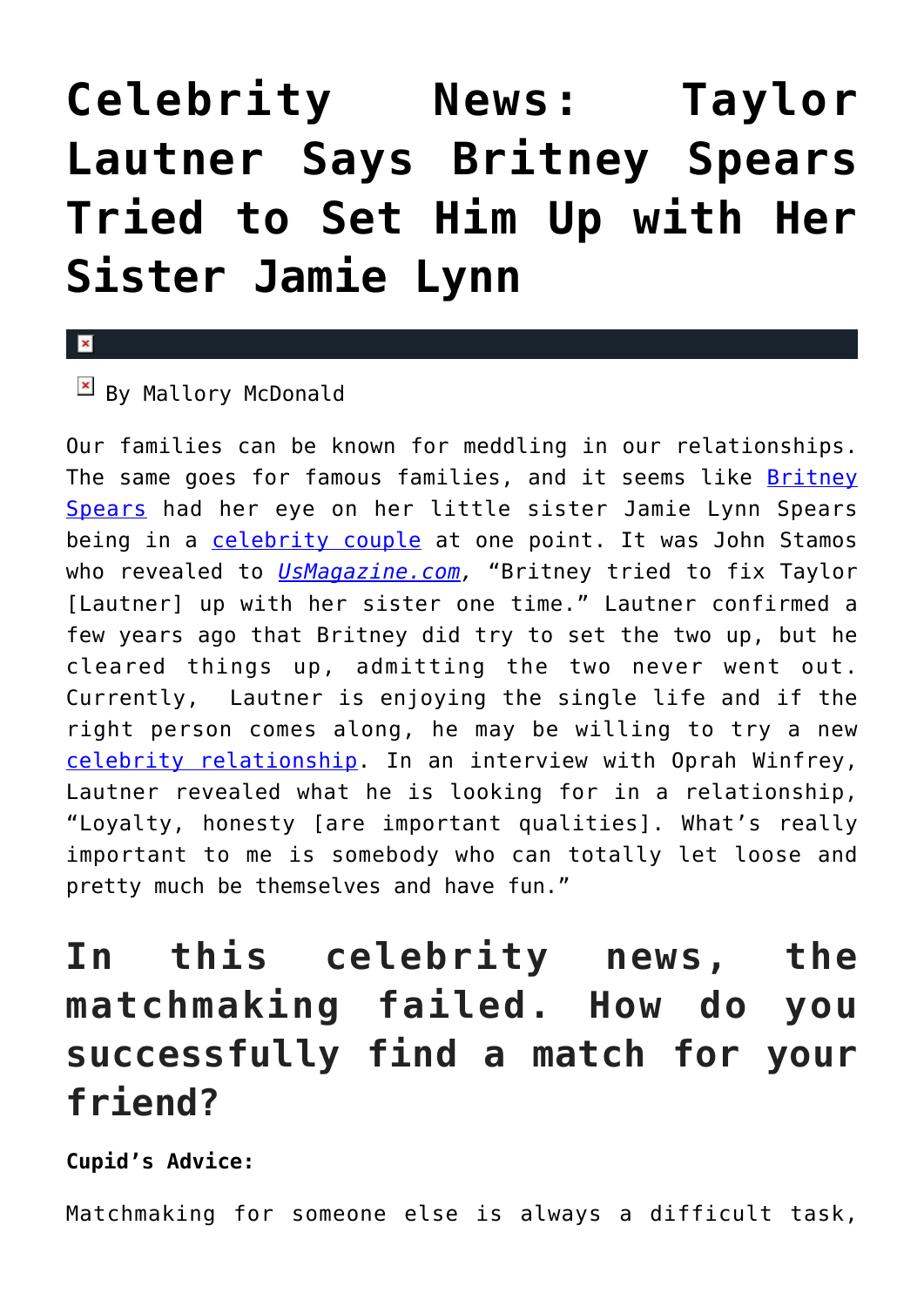# **[Celebrity News: Taylor](https://cupidspulse.com/114855/celebrity-news-taylor-lautner-britney-spears-set-up-jamie-lynn/) [Lautner Says Britney Spears](https://cupidspulse.com/114855/celebrity-news-taylor-lautner-britney-spears-set-up-jamie-lynn/) [Tried to Set Him Up with Her](https://cupidspulse.com/114855/celebrity-news-taylor-lautner-britney-spears-set-up-jamie-lynn/) [Sister Jamie Lynn](https://cupidspulse.com/114855/celebrity-news-taylor-lautner-britney-spears-set-up-jamie-lynn/)**

### $\mathbf x$

### $\boxed{\times}$  By Mallory McDonald

Our families can be known for meddling in our relationships. The same goes for famous families, and it seems like **[Britney](http://cupidspulse.com/88127/britney-spears/)** [Spears](http://cupidspulse.com/88127/britney-spears/) had her eye on her little sister Jamie Lynn Spears being in a [celebrity couple](http://cupidspulse.com/celebrity-relationships/long-term-relationships-flings/) at one point. It was John Stamos who revealed to *[UsMagazine.com,](http://www.usmagazine.com/celebrity-news/news/taylor-lautner-britney-tried-to-set-me-up-with-jamie-lynn-w442117)* "Britney tried to fix Taylor [Lautner] up with her sister one time." Lautner confirmed a few years ago that Britney did try to set the two up, but he cleared things up, admitting the two never went out. Currently, Lautner is enjoying the single life and if the right person comes along, he may be willing to try a new [celebrity relationship.](http://cupidspulse.com/celebrity-relationships/) In an interview with Oprah Winfrey, Lautner revealed what he is looking for in a relationship, "Loyalty, honesty [are important qualities]. What's really important to me is somebody who can totally let loose and pretty much be themselves and have fun."

## **In this celebrity news, the matchmaking failed. How do you successfully find a match for your friend?**

#### **Cupid's Advice:**

Matchmaking for someone else is always a difficult task,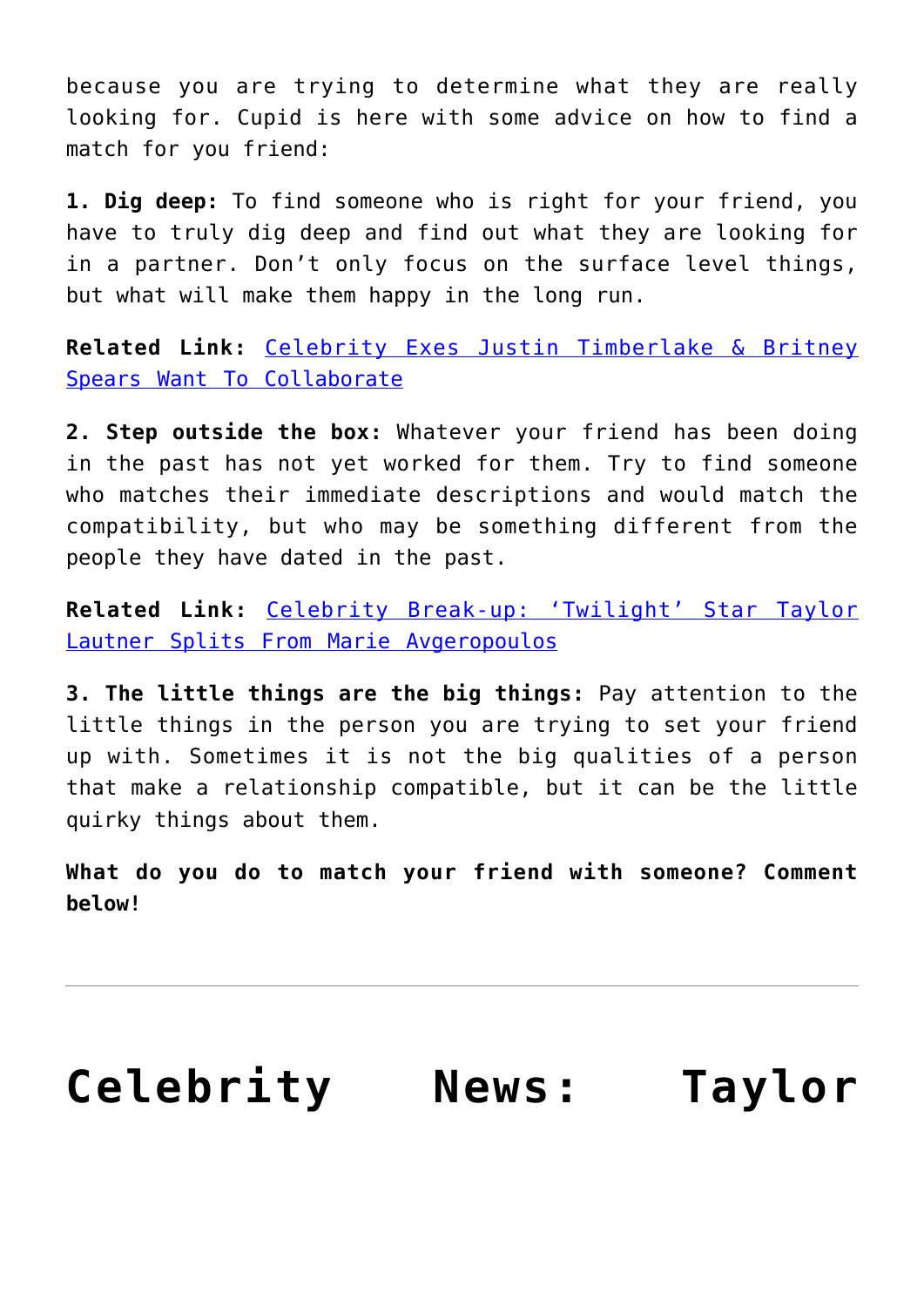because you are trying to determine what they are really looking for. Cupid is here with some advice on how to find a match for you friend:

**1. Dig deep:** To find someone who is right for your friend, you have to truly dig deep and find out what they are looking for in a partner. Don't only focus on the surface level things, but what will make them happy in the long run.

**Related Link:** [Celebrity Exes Justin Timberlake & Britney](http://cupidspulse.com/114671/celebrity-exes-justin-timberlake-britney-spears-want-to-collaborate/) [Spears Want To Collaborate](http://cupidspulse.com/114671/celebrity-exes-justin-timberlake-britney-spears-want-to-collaborate/)

**2. Step outside the box:** Whatever your friend has been doing in the past has not yet worked for them. Try to find someone who matches their immediate descriptions and would match the compatibility, but who may be something different from the people they have dated in the past.

**Related Link:** [Celebrity Break-up: 'Twilight' Star Taylor](http://cupidspulse.com/85122/twilight-taylor-lautner-celebrity-break-up-marie-avgeropoulos/) [Lautner Splits From Marie Avgeropoulos](http://cupidspulse.com/85122/twilight-taylor-lautner-celebrity-break-up-marie-avgeropoulos/)

**3. The little things are the big things:** Pay attention to the little things in the person you are trying to set your friend up with. Sometimes it is not the big qualities of a person that make a relationship compatible, but it can be the little quirky things about them.

**What do you do to match your friend with someone? Comment below!** 

# **[Celebrity News: Taylor](https://cupidspulse.com/113150/celebrity-news-taylor-lautner-confirms-taylor-swift-wrote-back-to-december-about-him/)**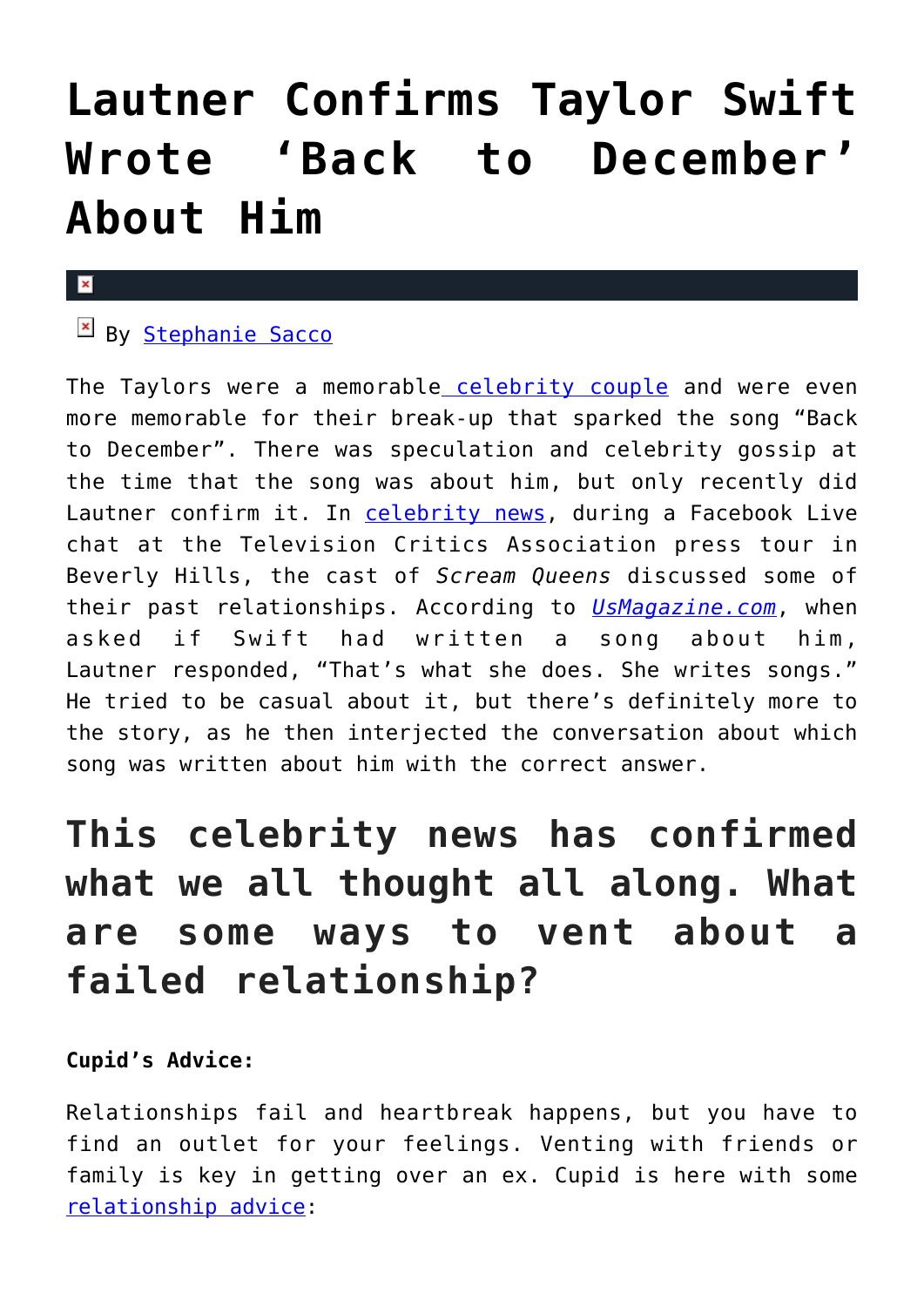# **[Lautner Confirms Taylor Swift](https://cupidspulse.com/113150/celebrity-news-taylor-lautner-confirms-taylor-swift-wrote-back-to-december-about-him/) [Wrote 'Back to December'](https://cupidspulse.com/113150/celebrity-news-taylor-lautner-confirms-taylor-swift-wrote-back-to-december-about-him/) [About Him](https://cupidspulse.com/113150/celebrity-news-taylor-lautner-confirms-taylor-swift-wrote-back-to-december-about-him/)**

#### $\mathbf x$

## By [Stephanie Sacco](http://cupidspulse.com/109033/stephanie-sacco/)

The Taylors were a memorable [celebrity couple](http://cupidspulse.com/celebrity-relationships/long-term-relationships-flings/) and were even more memorable for their break-up that sparked the song "Back to December". There was speculation and celebrity gossip at the time that the song was about him, but only recently did Lautner confirm it. In [celebrity news,](http://cupidspulse.com) during a Facebook Live chat at the Television Critics Association press tour in Beverly Hills, the cast of *Scream Queens* discussed some of their past relationships. According to *[UsMagazine.com](http://www.usmagazine.com/celebrity-news/news/taylor-lautner-taylor-swift-wrote-back-to-december-about-me-w433624)*, when asked if Swift had written a song about him, Lautner responded, "That's what she does. She writes songs." He tried to be casual about it, but there's definitely more to the story, as he then interjected the conversation about which song was written about him with the correct answer.

## **This celebrity news has confirmed what we all thought all along. What are some ways to vent about a failed relationship?**

#### **Cupid's Advice:**

Relationships fail and heartbreak happens, but you have to find an outlet for your feelings. Venting with friends or family is key in getting over an ex. Cupid is here with some [relationship advice:](http://cupidspulse.com/relationship-experts/)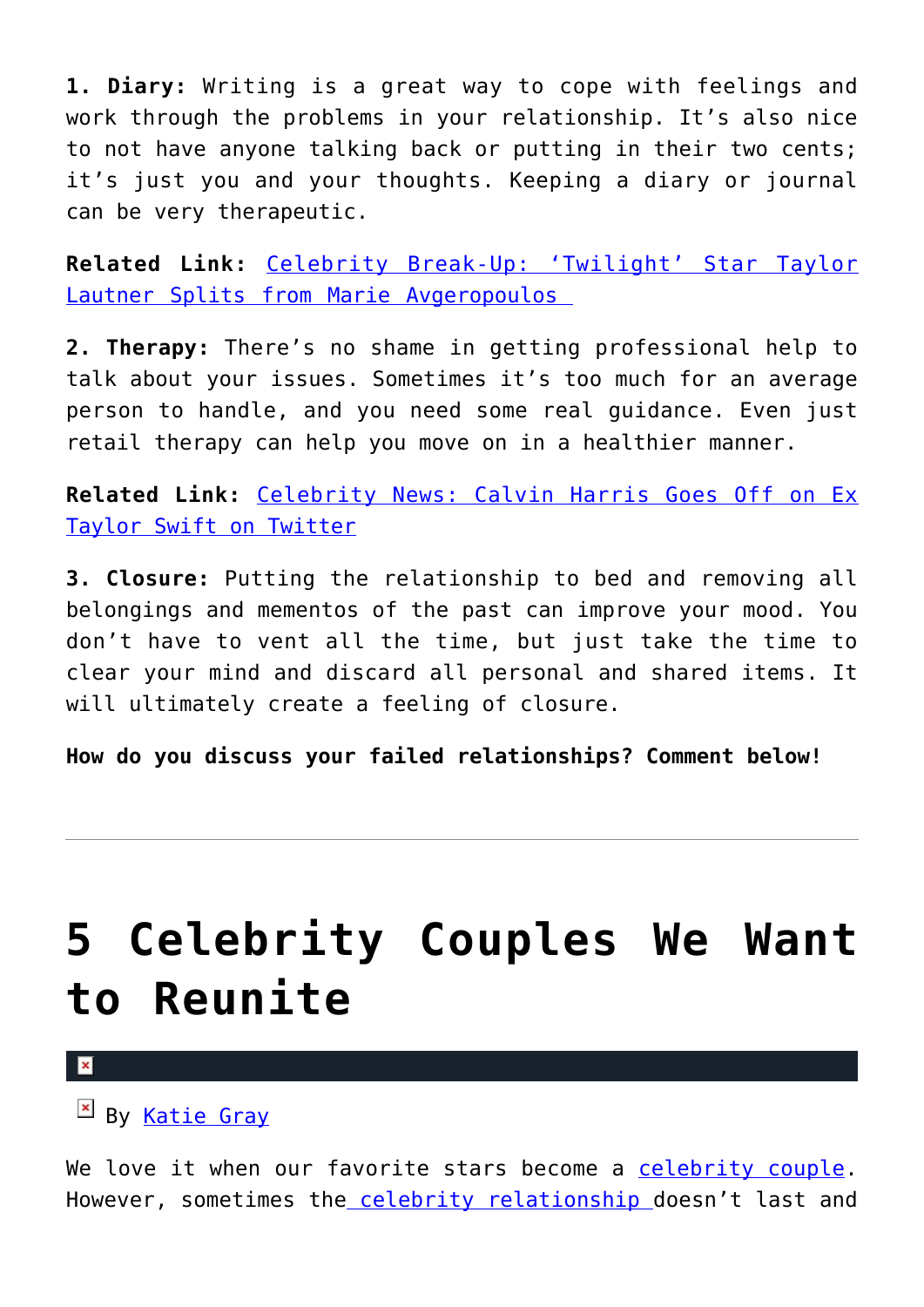**1. Diary:** Writing is a great way to cope with feelings and work through the problems in your relationship. It's also nice to not have anyone talking back or putting in their two cents; it's just you and your thoughts. Keeping a diary or journal can be very therapeutic.

**Related Link:** [Celebrity Break-Up: 'Twilight' Star Taylor](http://cupidspulse.com/85122/twilight-taylor-lautner-celebrity-break-up-marie-avgeropoulos/) [Lautner Splits from Marie Avgeropoulos](http://cupidspulse.com/85122/twilight-taylor-lautner-celebrity-break-up-marie-avgeropoulos/) 

**2. Therapy:** There's no shame in getting professional help to talk about your issues. Sometimes it's too much for an average person to handle, and you need some real guidance. Even just retail therapy can help you move on in a healthier manner.

**Related Link:** [Celebrity News: Calvin Harris Goes Off on Ex](http://cupidspulse.com/112294/celebrity-news-calvin-harris-goes-off-ex-taylor-swift-twitter/) [Taylor Swift on Twitter](http://cupidspulse.com/112294/celebrity-news-calvin-harris-goes-off-ex-taylor-swift-twitter/)

**3. Closure:** Putting the relationship to bed and removing all belongings and mementos of the past can improve your mood. You don't have to vent all the time, but just take the time to clear your mind and discard all personal and shared items. It will ultimately create a feeling of closure.

**How do you discuss your failed relationships? Comment below!**

# **[5 Celebrity Couples We Want](https://cupidspulse.com/112675/celebrity-couples-we-want-to-reunite/) [to Reunite](https://cupidspulse.com/112675/celebrity-couples-we-want-to-reunite/)**

 $\mathbf{x}$ 

 $\mathbb{E}$  By [Katie Gray](http://cupidspulse.com/105088/katie-gray/)

We love it when our favorite stars become a [celebrity couple.](http://cupidspulse.com/celebrity-relationships/long-term-relationships-flings/) However, sometimes th[e celebrity relationship](http://cupidspulse.com/celebrity-relationships/long-term-relationships-flings/) doesn't last and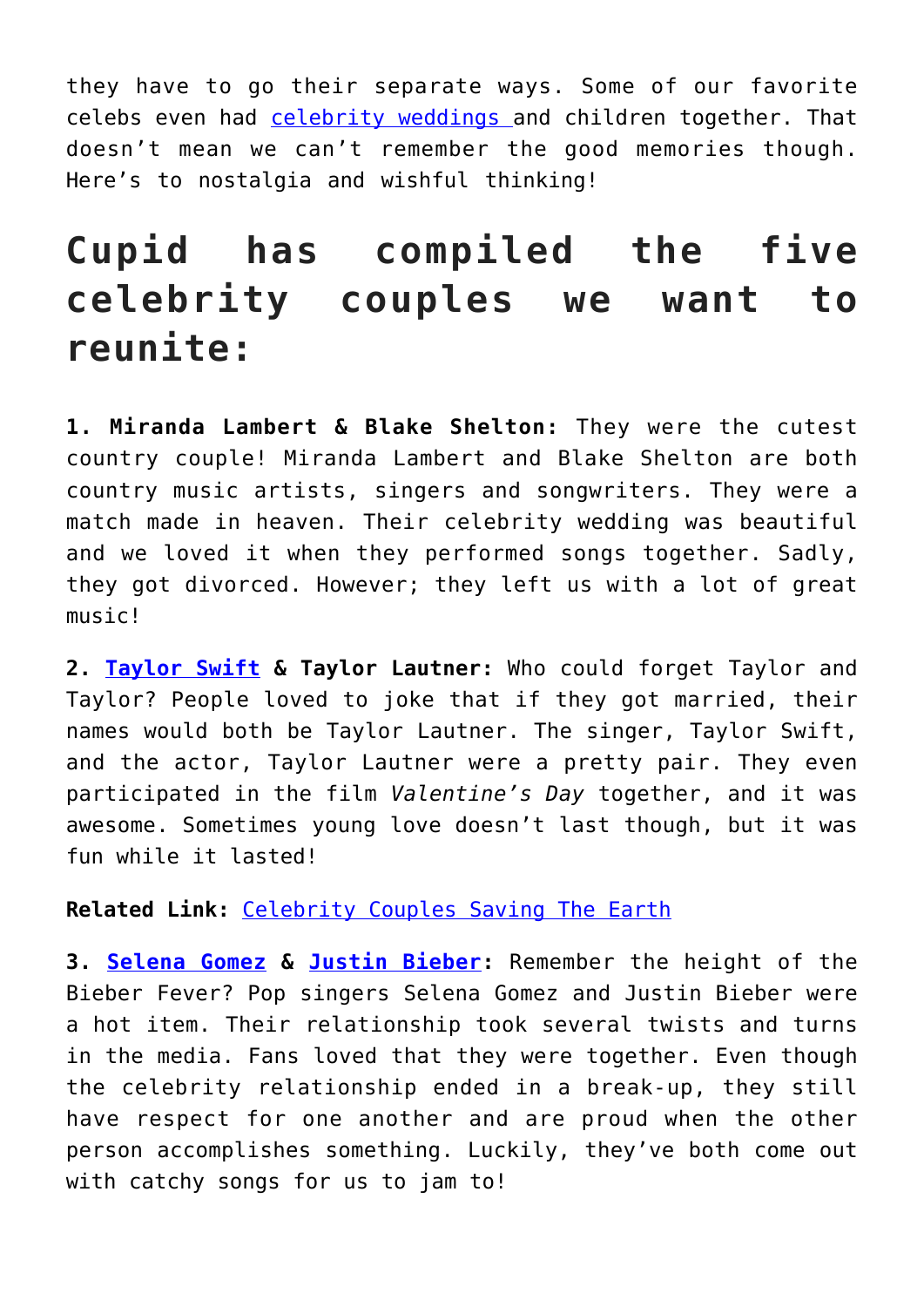they have to go their separate ways. Some of our favorite celebs even had [celebrity weddings a](http://cupidspulse.com/celebrity-relationships/wedding-engagement/)nd children together. That doesn't mean we can't remember the good memories though. Here's to nostalgia and wishful thinking!

## **Cupid has compiled the five celebrity couples we want to reunite:**

**1. Miranda Lambert & Blake Shelton:** They were the cutest country couple! Miranda Lambert and Blake Shelton are both country music artists, singers and songwriters. They were a match made in heaven. Their celebrity wedding was beautiful and we loved it when they performed songs together. Sadly, they got divorced. However; they left us with a lot of great music!

**2. [Taylor Swift](http://cupidspulse.com/86081/taylor-swift/) & Taylor Lautner:** Who could forget Taylor and Taylor? People loved to joke that if they got married, their names would both be Taylor Lautner. The singer, Taylor Swift, and the actor, Taylor Lautner were a pretty pair. They even participated in the film *Valentine's Day* together, and it was awesome. Sometimes young love doesn't last though, but it was fun while it lasted!

#### **Related Link:** [Celebrity Couples Saving The Earth](http://cupidspulse.com/111569/celebrity-couples-saving-earth-2/)

**3. [Selena Gomez](http://cupidspulse.com/89073/selena-gomez/) & [Justin Bieber:](http://cupidspulse.com/87039/justin-bieber/)** Remember the height of the Bieber Fever? Pop singers Selena Gomez and Justin Bieber were a hot item. Their relationship took several twists and turns in the media. Fans loved that they were together. Even though the celebrity relationship ended in a break-up, they still have respect for one another and are proud when the other person accomplishes something. Luckily, they've both come out with catchy songs for us to jam to!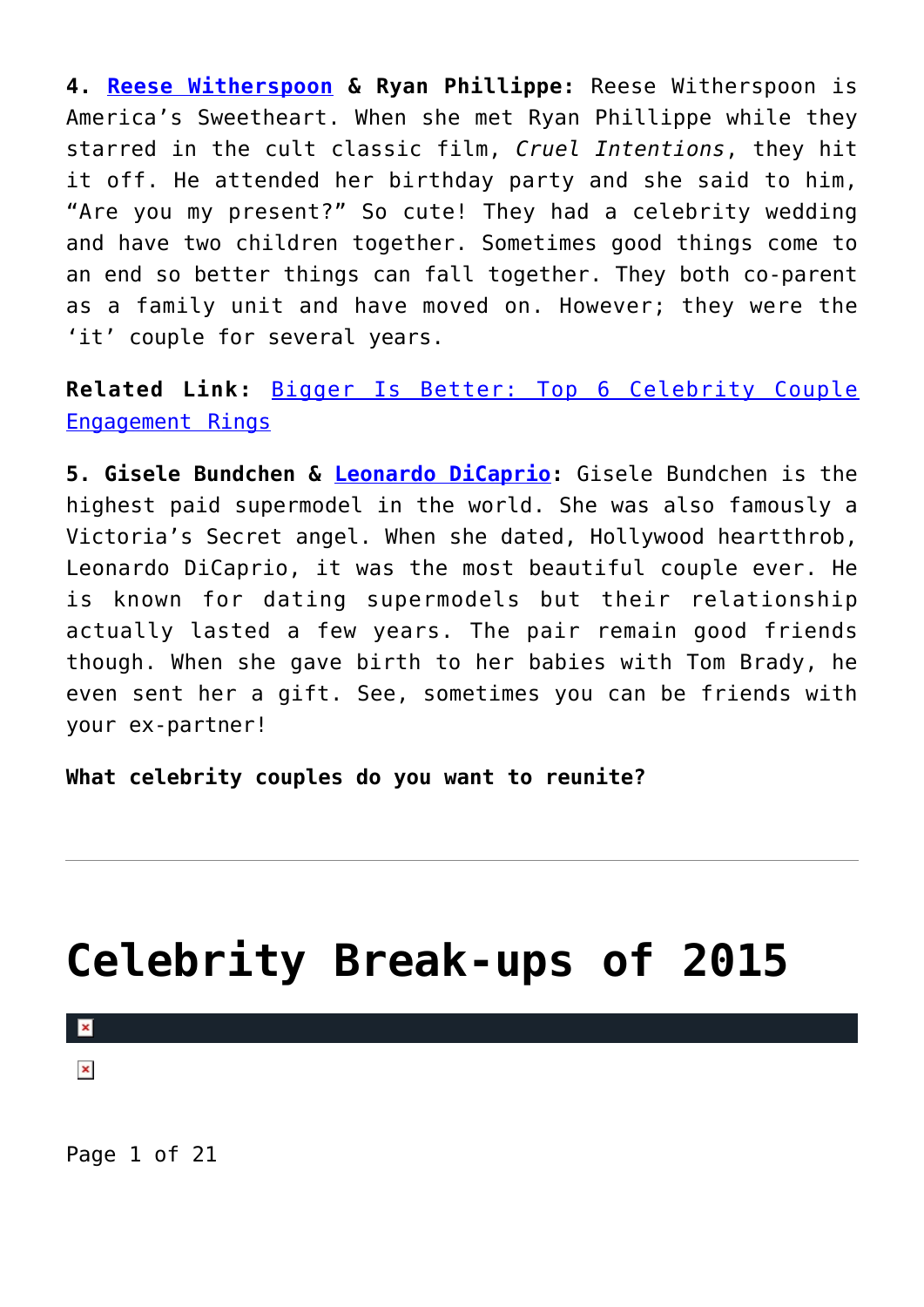**4. [Reese Witherspoon](http://cupidspulse.com/87698/reese-witherspoon/) & Ryan Phillippe:** Reese Witherspoon is America's Sweetheart. When she met Ryan Phillippe while they starred in the cult classic film, *Cruel Intentions*, they hit it off. He attended her birthday party and she said to him, "Are you my present?" So cute! They had a celebrity wedding and have two children together. Sometimes good things come to an end so better things can fall together. They both co-parent as a family unit and have moved on. However; they were the 'it' couple for several years.

**Related Link:** [Bigger Is Better: Top 6 Celebrity Couple](http://cupidspulse.com/112312/celebrity-couple-engagement-rings/) [Engagement Rings](http://cupidspulse.com/112312/celebrity-couple-engagement-rings/)

**5. Gisele Bundchen & [Leonardo DiCaprio](http://cupidspulse.com/89065/leonardo-dicaprio/):** Gisele Bundchen is the highest paid supermodel in the world. She was also famously a Victoria's Secret angel. When she dated, Hollywood heartthrob, Leonardo DiCaprio, it was the most beautiful couple ever. He is known for dating supermodels but their relationship actually lasted a few years. The pair remain good friends though. When she gave birth to her babies with Tom Brady, he even sent her a gift. See, sometimes you can be friends with your ex-partner!

**What celebrity couples do you want to reunite?**

# **[Celebrity Break-ups of 2015](https://cupidspulse.com/97014/celebrity-break-ups-of-2015/)**

 $\pmb{\times}$ 

 $\pmb{\times}$ 

Page 1 of 21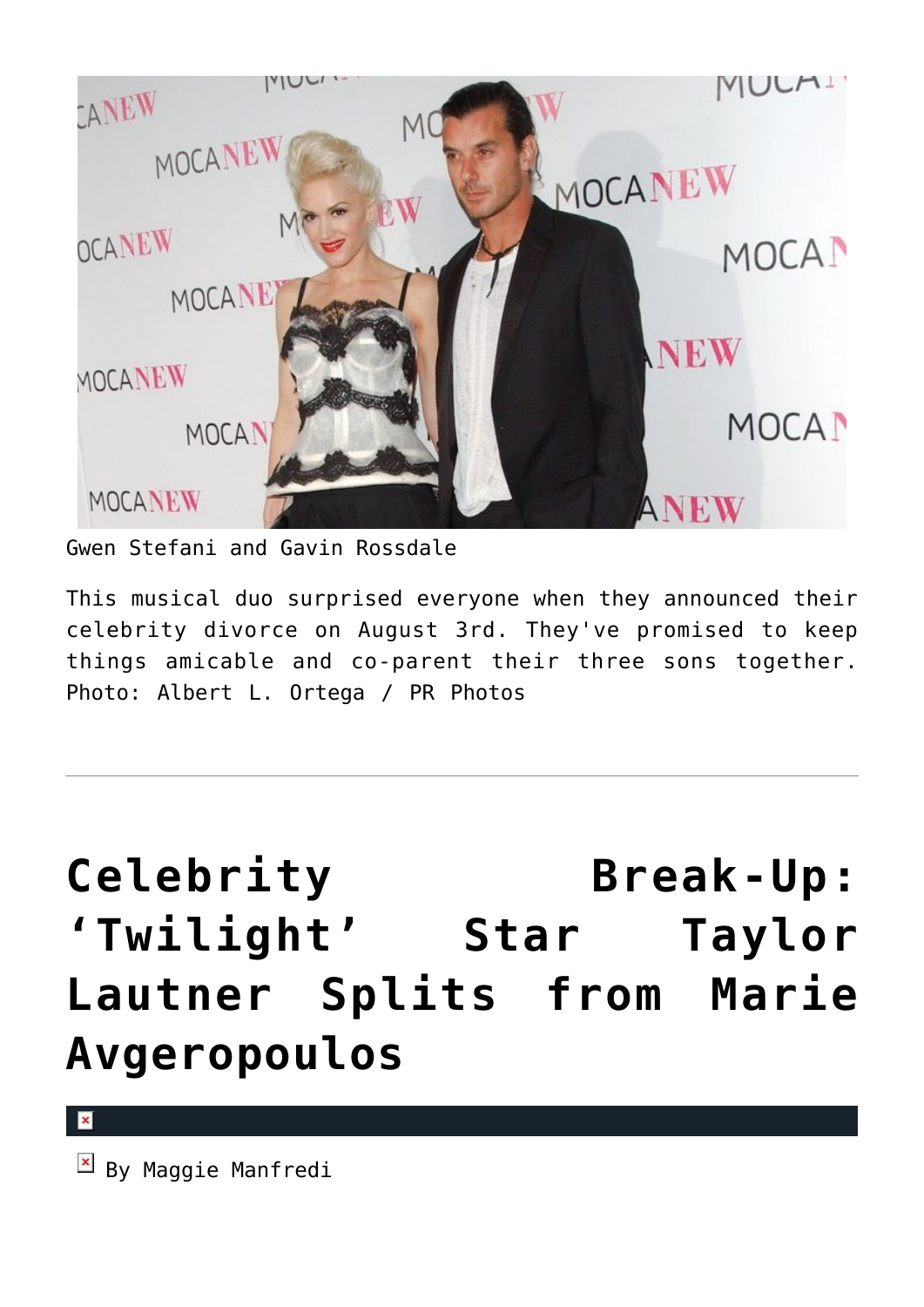

Gwen Stefani and Gavin Rossdale

This musical duo surprised everyone when they announced their celebrity divorce on August 3rd. They've promised to keep things amicable and co-parent their three sons together. Photo: Albert L. Ortega / PR Photos

**[Celebrity Break-Up:](https://cupidspulse.com/85122/twilight-taylor-lautner-celebrity-break-up-marie-avgeropoulos/) ['Twilight' Star Taylor](https://cupidspulse.com/85122/twilight-taylor-lautner-celebrity-break-up-marie-avgeropoulos/) [Lautner Splits from Marie](https://cupidspulse.com/85122/twilight-taylor-lautner-celebrity-break-up-marie-avgeropoulos/) [Avgeropoulos](https://cupidspulse.com/85122/twilight-taylor-lautner-celebrity-break-up-marie-avgeropoulos/)**

×

 $By$  Maggie Manfredi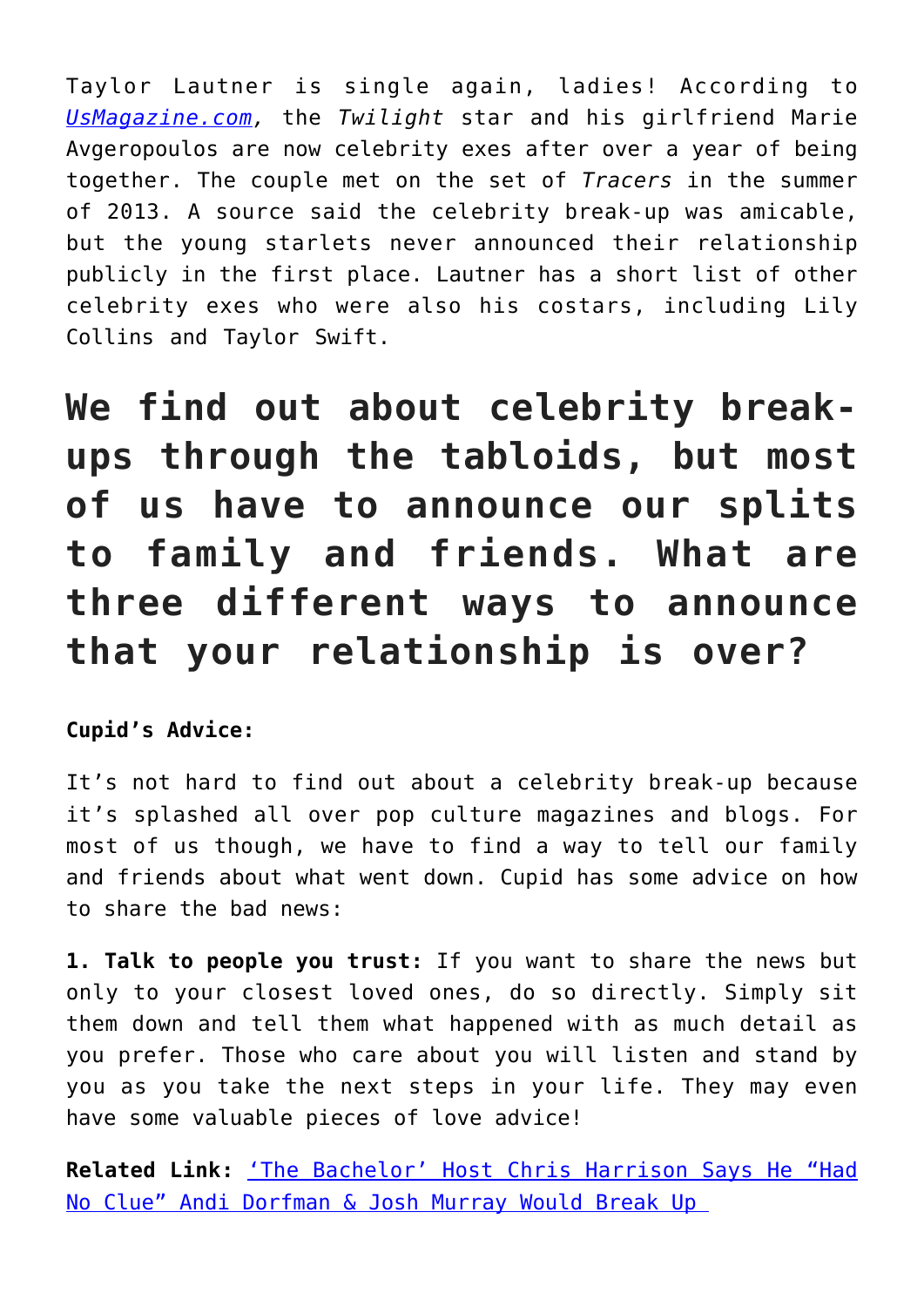Taylor Lautner is single again, ladies! According to *[UsMagazine.com,](http://www.usmagazine.com/celebrity-news/news/taylor-lautner-marie-avgeropoulos-break-up-2015151)* the *Twilight* star and his girlfriend Marie Avgeropoulos are now celebrity exes after over a year of being together. The couple met on the set of *Tracers* in the summer of 2013. A source said the celebrity break-up was amicable, but the young starlets never announced their relationship publicly in the first place. Lautner has a short list of other celebrity exes who were also his costars, including Lily Collins and Taylor Swift.

**We find out about celebrity breakups through the tabloids, but most of us have to announce our splits to family and friends. What are three different ways to announce that your relationship is over?**

**Cupid's Advice:** 

It's not hard to find out about a celebrity break-up because it's splashed all over pop culture magazines and blogs. For most of us though, we have to find a way to tell our family and friends about what went down. Cupid has some advice on how to share the bad news:

**1. Talk to people you trust:** If you want to share the news but only to your closest loved ones, do so directly. Simply sit them down and tell them what happened with as much detail as you prefer. Those who care about you will listen and stand by you as you take the next steps in your life. They may even have some valuable pieces of love advice!

**Related Link:** ['The Bachelor' Host Chris Harrison Says He "Had](http://cupidspulse.com/85071/the-bachelor-host-andi-dorfman-josh-murray-breakup/) [No Clue" Andi Dorfman & Josh Murray Would Break Up](http://cupidspulse.com/85071/the-bachelor-host-andi-dorfman-josh-murray-breakup/)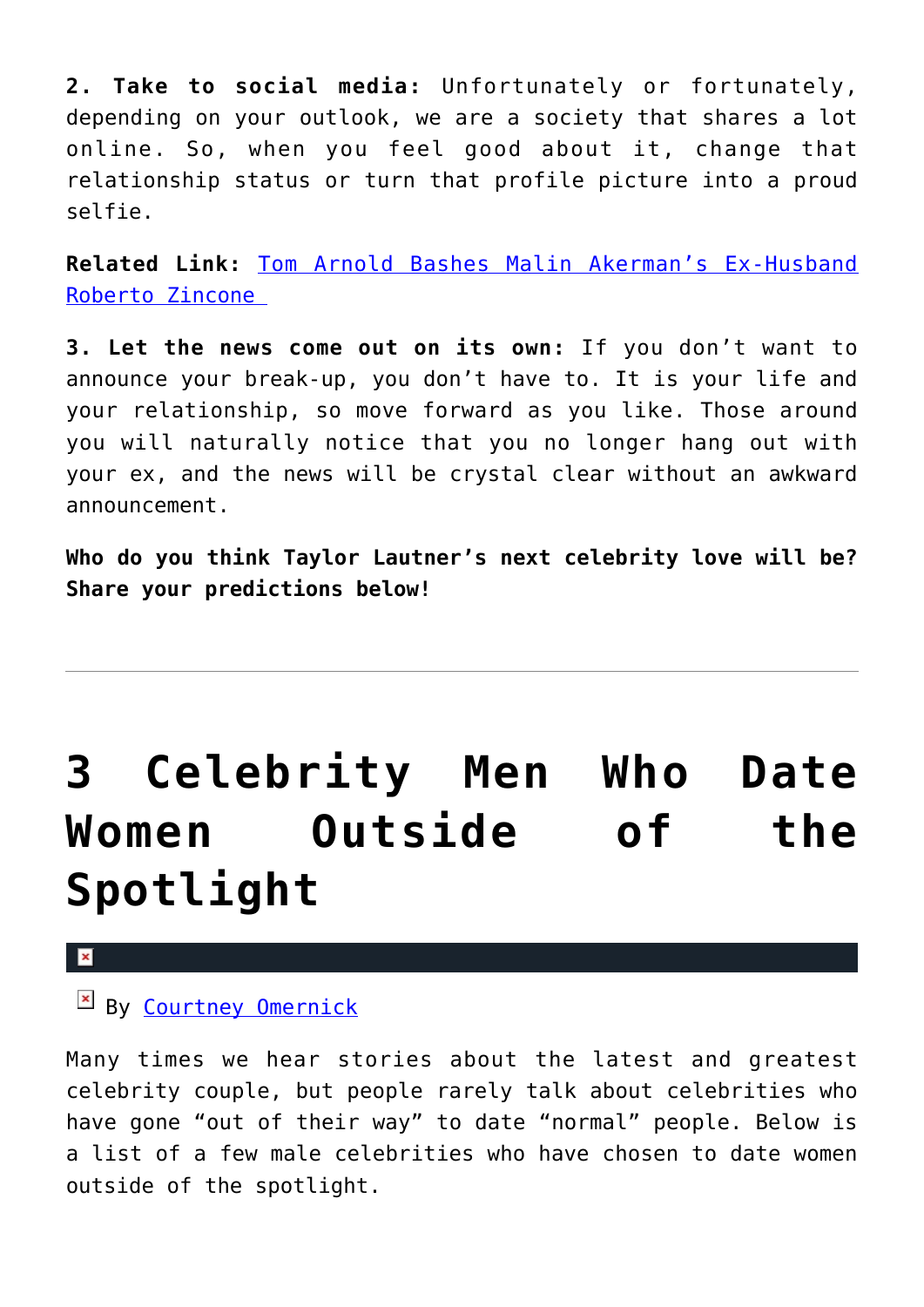**2. Take to social media:** Unfortunately or fortunately, depending on your outlook, we are a society that shares a lot online. So, when you feel good about it, change that relationship status or turn that profile picture into a proud selfie.

**Related Link:** [Tom Arnold Bashes Malin Akerman's Ex-Husband](http://cupidspulse.com/85067/tom-arnold-bashes-malin-akermans-ex-husband-celebrity-exes/) [Roberto Zincone](http://cupidspulse.com/85067/tom-arnold-bashes-malin-akermans-ex-husband-celebrity-exes/) 

**3. Let the news come out on its own:** If you don't want to announce your break-up, you don't have to. It is your life and your relationship, so move forward as you like. Those around you will naturally notice that you no longer hang out with your ex, and the news will be crystal clear without an awkward announcement.

**Who do you think Taylor Lautner's next celebrity love will be? Share your predictions below!**

# **[3 Celebrity Men Who Date](https://cupidspulse.com/82559/men-date-outside-spotlight/) [Women Outside of the](https://cupidspulse.com/82559/men-date-outside-spotlight/) [Spotlight](https://cupidspulse.com/82559/men-date-outside-spotlight/)**

#### $\pmb{\times}$

### By [Courtney Omernick](http://cupidspulse.com/105759/courtney-omernick/)

Many times we hear stories about the latest and greatest celebrity couple, but people rarely talk about celebrities who have gone "out of their way" to date "normal" people. Below is a list of a few male celebrities who have chosen to date women outside of the spotlight.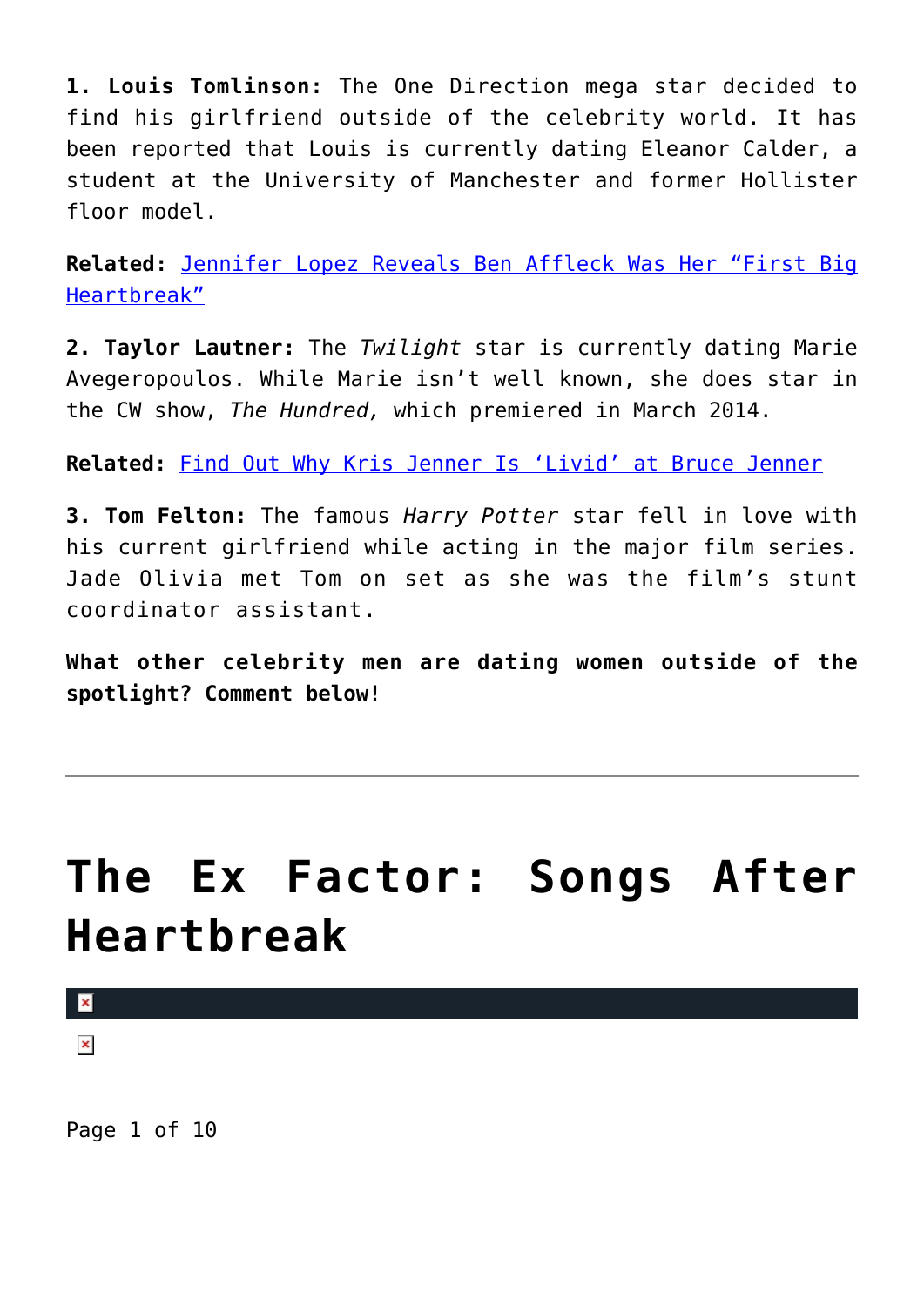**1. Louis Tomlinson:** The One Direction mega star decided to find his girlfriend outside of the celebrity world. It has been reported that Louis is currently dating Eleanor Calder, a student at the University of Manchester and former Hollister floor model.

**Related:** [Jennifer Lopez Reveals Ben Affleck Was Her "First Big](http://cupidspulse.com/82508/jennifer-lopez-reveals-ben-affleck-was-her-first-big-heartbreak/) [Heartbreak"](http://cupidspulse.com/82508/jennifer-lopez-reveals-ben-affleck-was-her-first-big-heartbreak/)

**2. Taylor Lautner:** The *Twilight* star is currently dating Marie Avegeropoulos. While Marie isn't well known, she does star in the CW show, *The Hundred,* which premiered in March 2014.

**Related:** [Find Out Why Kris Jenner Is 'Livid' at Bruce Jenner](http://cupidspulse.com/82365/find-out-why-kris-jenner-livid-bruce-jenner/)

**3. Tom Felton:** The famous *Harry Potter* star fell in love with his current girlfriend while acting in the major film series. Jade Olivia met Tom on set as she was the film's stunt coordinator assistant.

**What other celebrity men are dating women outside of the spotlight? Comment below!**

# **[The Ex Factor: Songs After](https://cupidspulse.com/77219/the-ex-factor-songs-after-heartbreak/) [Heartbreak](https://cupidspulse.com/77219/the-ex-factor-songs-after-heartbreak/)**

 $\mathbf{R}$ 

 $\pmb{\times}$ 

Page 1 of 10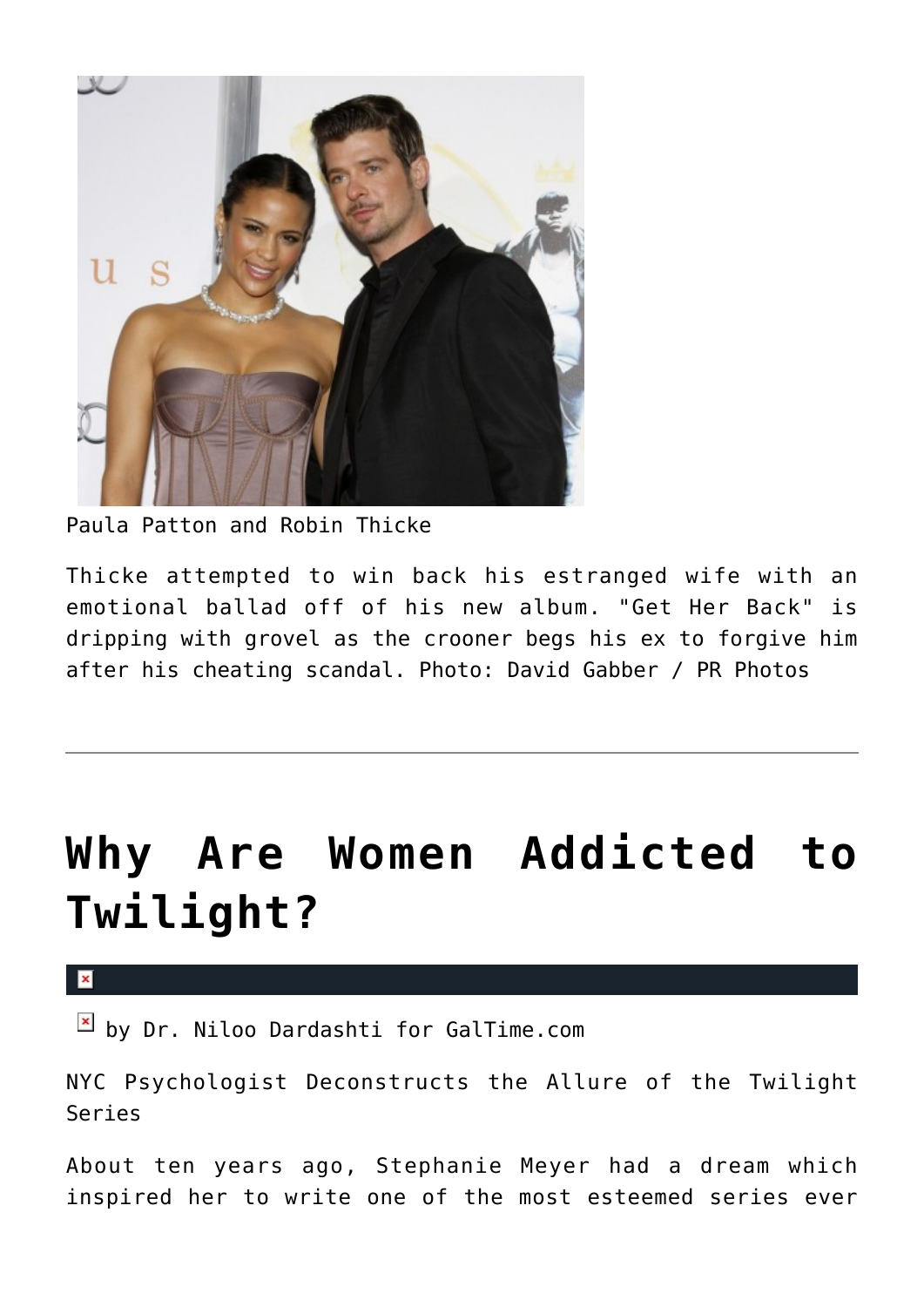

Paula Patton and Robin Thicke

Thicke attempted to win back his estranged wife with an emotional ballad off of his new album. "Get Her Back" is dripping with grovel as the crooner begs his ex to forgive him after his cheating scandal. Photo: David Gabber / PR Photos

# **[Why Are Women Addicted to](https://cupidspulse.com/43360/why-women-addicted-to-twilight/) [Twilight?](https://cupidspulse.com/43360/why-women-addicted-to-twilight/)**

 $\pmb{\times}$ 

 $\boxed{\times}$  by Dr. Niloo Dardashti for GalTime.com

NYC Psychologist Deconstructs the Allure of the Twilight Series

About ten years ago, Stephanie Meyer had a dream which inspired her to write one of the most esteemed series ever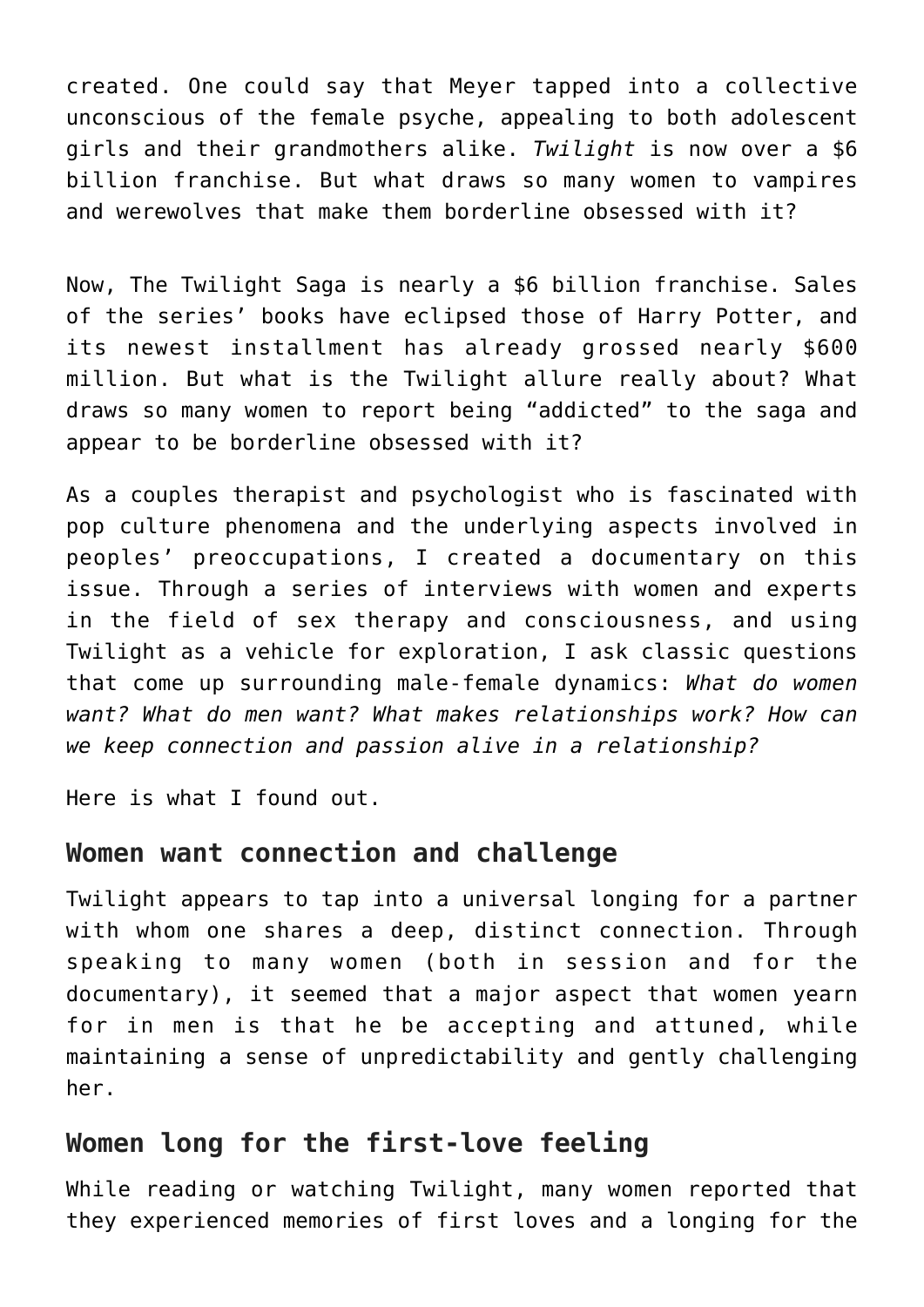created. One could say that Meyer tapped into a collective unconscious of the female psyche, appealing to both adolescent girls and their grandmothers alike. *Twilight* is now over a \$6 billion franchise. But what draws so many women to vampires and werewolves that make them borderline obsessed with it?

Now, The Twilight Saga is nearly a \$6 billion franchise. Sales of the series' books have eclipsed those of Harry Potter, and its newest installment has already grossed nearly \$600 million. But what is the Twilight allure really about? What draws so many women to report being "addicted" to the saga and appear to be borderline obsessed with it?

As a couples therapist and psychologist who is fascinated with pop culture phenomena and the underlying aspects involved in peoples' preoccupations, I created a documentary on this issue. Through a series of interviews with women and experts in the field of sex therapy and consciousness, and using Twilight as a vehicle for exploration, I ask classic questions that come up surrounding male-female dynamics: *What do women want? What do men want? What makes relationships work? How can we keep connection and passion alive in a relationship?*

Here is what I found out.

### **Women want connection and challenge**

Twilight appears to tap into a universal longing for a partner with whom one shares a deep, distinct connection. Through speaking to many women (both in session and for the documentary), it seemed that a major aspect that women yearn for in men is that he be accepting and attuned, while maintaining a sense of unpredictability and gently challenging her.

### **Women long for the first-love feeling**

While reading or watching Twilight, many women reported that they experienced memories of first loves and a longing for the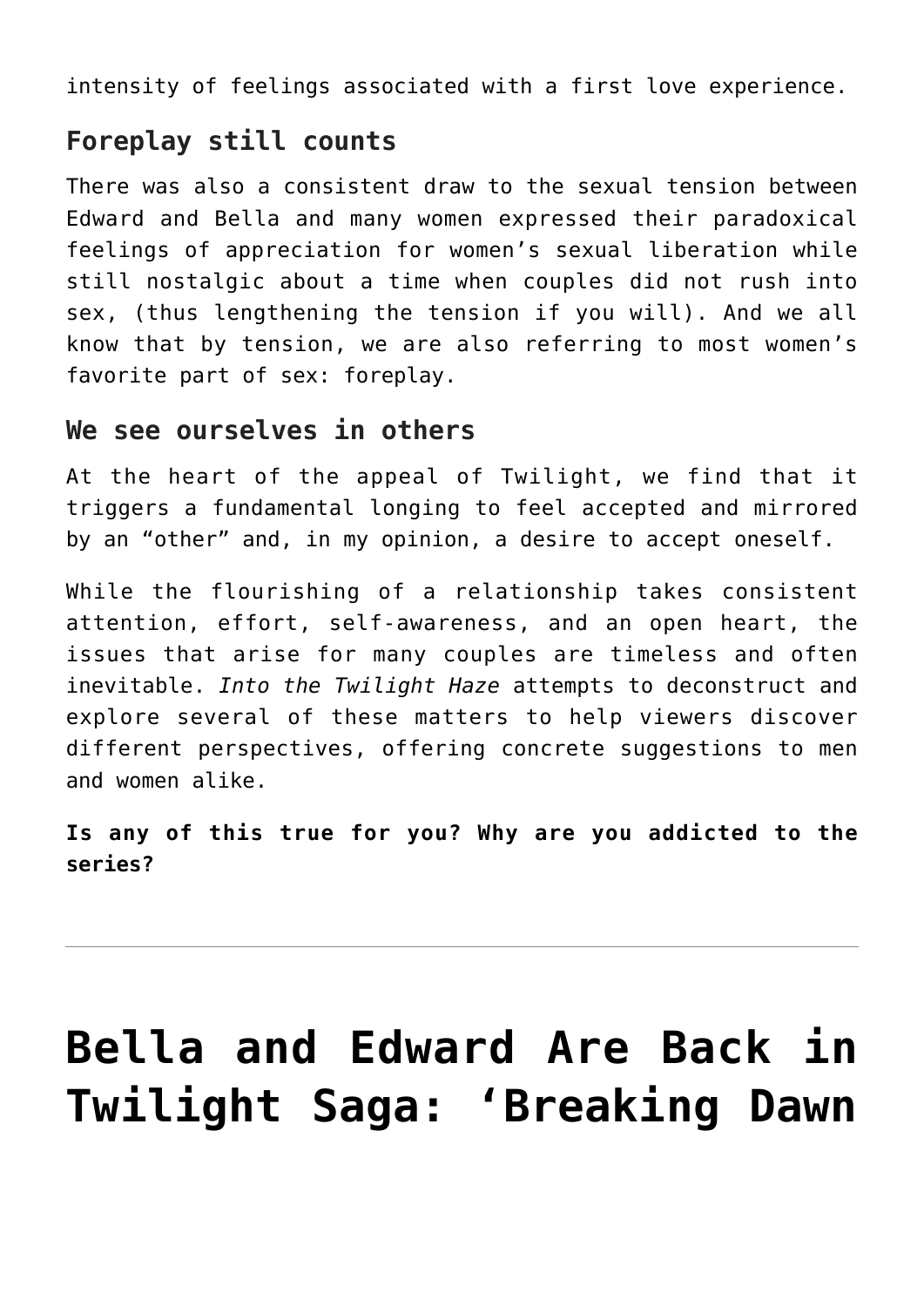intensity of feelings associated with a first love experience.

### **Foreplay still counts**

There was also a consistent draw to the sexual tension between Edward and Bella and many women expressed their paradoxical feelings of appreciation for women's sexual liberation while still nostalgic about a time when couples did not rush into sex, (thus lengthening the tension if you will). And we all know that by tension, we are also referring to most women's favorite part of sex: foreplay.

### **We see ourselves in others**

At the heart of the appeal of Twilight, we find that it triggers a fundamental longing to feel accepted and mirrored by an "other" and, in my opinion, a desire to accept oneself.

While the flourishing of a relationship takes consistent attention, effort, self-awareness, and an open heart, the issues that arise for many couples are timeless and often inevitable. *Into the Twilight Haze* attempts to deconstruct and explore several of these matters to help viewers discover different perspectives, offering concrete suggestions to men and women alike.

**Is any of this true for you? Why are you addicted to the series?**

# **[Bella and Edward Are Back in](https://cupidspulse.com/22361/twilight-saga-breaking-dawn-part-1-movie-review-bella-edward-vampires-kristen-stewart-robert-pattinson-taylor-lautner/) [Twilight Saga: 'Breaking Dawn](https://cupidspulse.com/22361/twilight-saga-breaking-dawn-part-1-movie-review-bella-edward-vampires-kristen-stewart-robert-pattinson-taylor-lautner/)**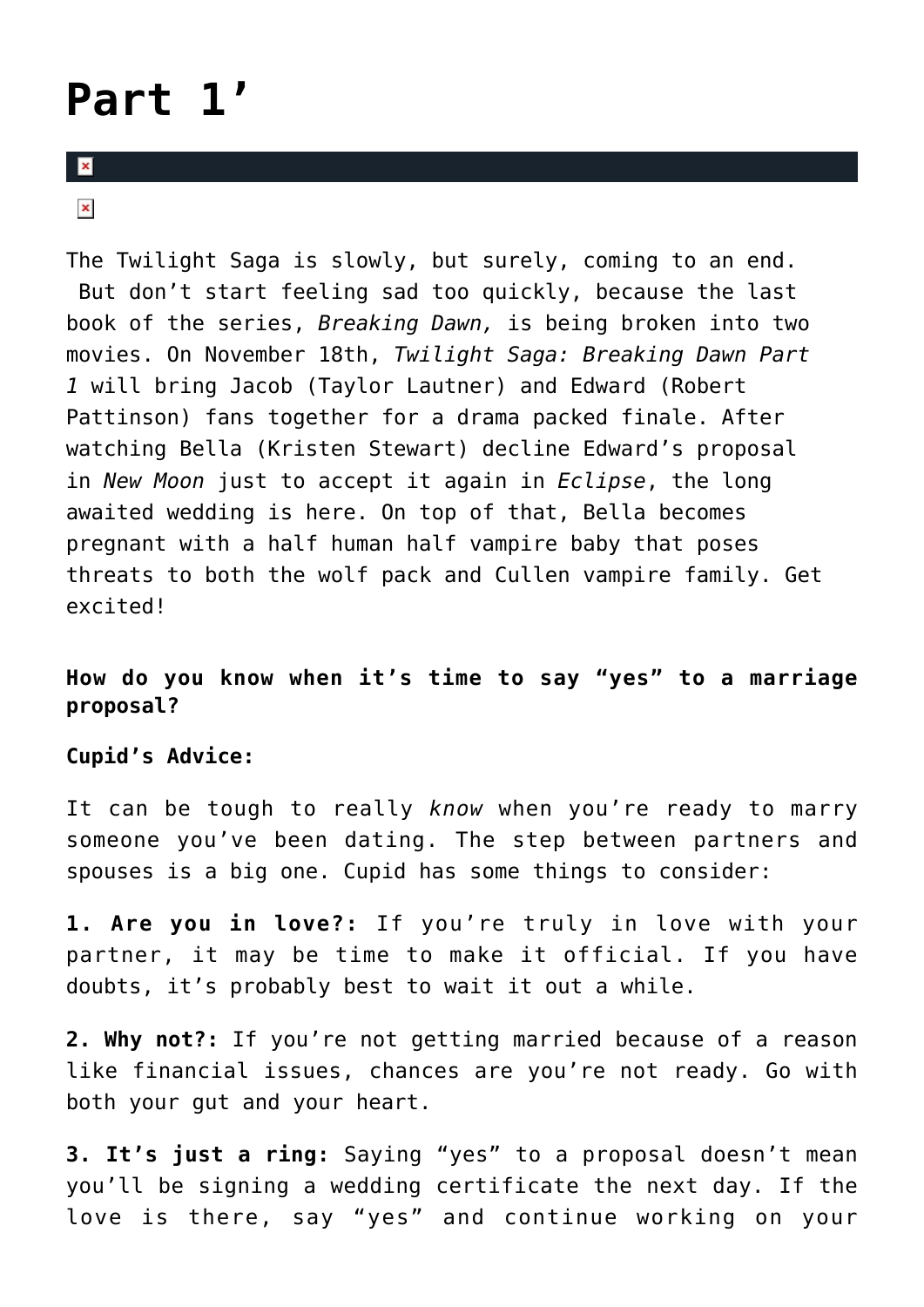# **[Part 1'](https://cupidspulse.com/22361/twilight-saga-breaking-dawn-part-1-movie-review-bella-edward-vampires-kristen-stewart-robert-pattinson-taylor-lautner/)**

#### $\overline{\mathbf{x}}$

 $\pmb{\times}$ 

The Twilight Saga is slowly, but surely, coming to an end. But don't start feeling sad too quickly, because the last book of the series, *Breaking Dawn,* is being broken into two movies. On November 18th, *Twilight Saga: Breaking Dawn Part 1* will bring Jacob (Taylor Lautner) and Edward (Robert Pattinson) fans together for a drama packed finale. After watching Bella (Kristen Stewart) decline Edward's proposal in *New Moon* just to accept it again in *Eclipse*, the long awaited wedding is here. On top of that, Bella becomes pregnant with a half human half vampire baby that poses threats to both the wolf pack and Cullen vampire family. Get excited!

#### **How do you know when it's time to say "yes" to a marriage proposal?**

#### **Cupid's Advice:**

It can be tough to really *know* when you're ready to marry someone you've been dating. The step between partners and spouses is a big one. Cupid has some things to consider:

**1. Are you in love?:** If you're truly in love with your partner, it may be time to make it official. If you have doubts, it's probably best to wait it out a while.

**2. Why not?:** If you're not getting married because of a reason like financial issues, chances are you're not ready. Go with both your gut and your heart.

**3. It's just a ring:** Saying "yes" to a proposal doesn't mean you'll be signing a wedding certificate the next day. If the love is there, say "yes" and continue working on your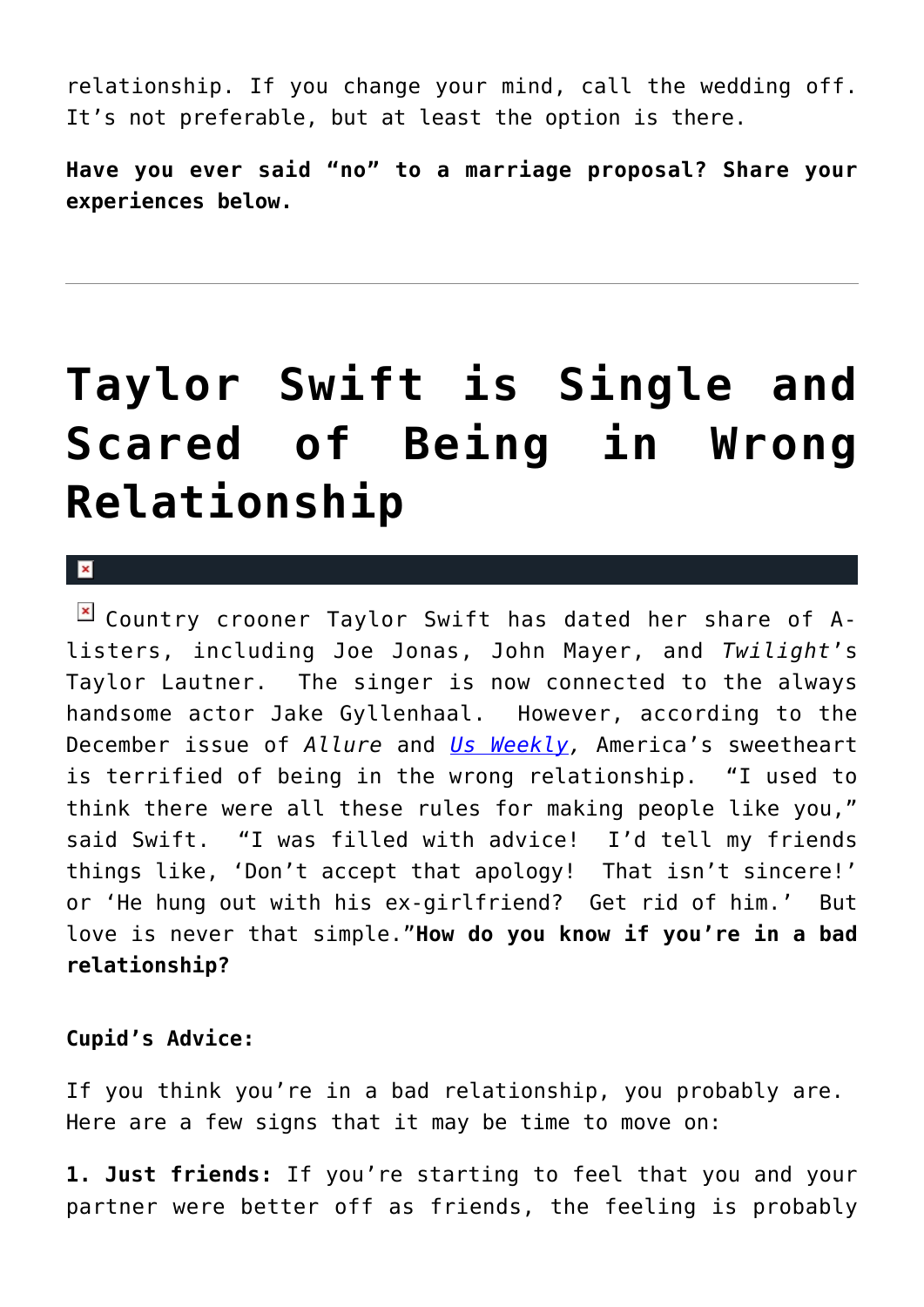relationship. If you change your mind, call the wedding off. It's not preferable, but at least the option is there.

**Have you ever said "no" to a marriage proposal? Share your experiences below.**

# **[Taylor Swift is Single and](https://cupidspulse.com/6620/taylor-swift-is-single-and-scared-of-being-in-wrong-relationship/) [Scared of Being in Wrong](https://cupidspulse.com/6620/taylor-swift-is-single-and-scared-of-being-in-wrong-relationship/) [Relationship](https://cupidspulse.com/6620/taylor-swift-is-single-and-scared-of-being-in-wrong-relationship/)**

 $\mathbf x$ 

 $\boxed{\times}$  Country crooner Taylor Swift has dated her share of Alisters, including Joe Jonas, John Mayer, and *Twilight*'s Taylor Lautner. The singer is now connected to the always handsome actor Jake Gyllenhaal. However, according to the December issue of *Allure* and *[Us Weekly,](http://www.usmagazine.com/healthylifestyle/news/taylor-swift-has-phobia-about-being-in-the-wrong-relationship-20101611)* America's sweetheart is terrified of being in the wrong relationship. "I used to think there were all these rules for making people like you," said Swift. "I was filled with advice! I'd tell my friends things like, 'Don't accept that apology! That isn't sincere!' or 'He hung out with his ex-girlfriend? Get rid of him.' But love is never that simple."**How do you know if you're in a bad relationship?**

### **Cupid's Advice:**

If you think you're in a bad relationship, you probably are. Here are a few signs that it may be time to move on:

**1. Just friends:** If you're starting to feel that you and your partner were better off as friends, the feeling is probably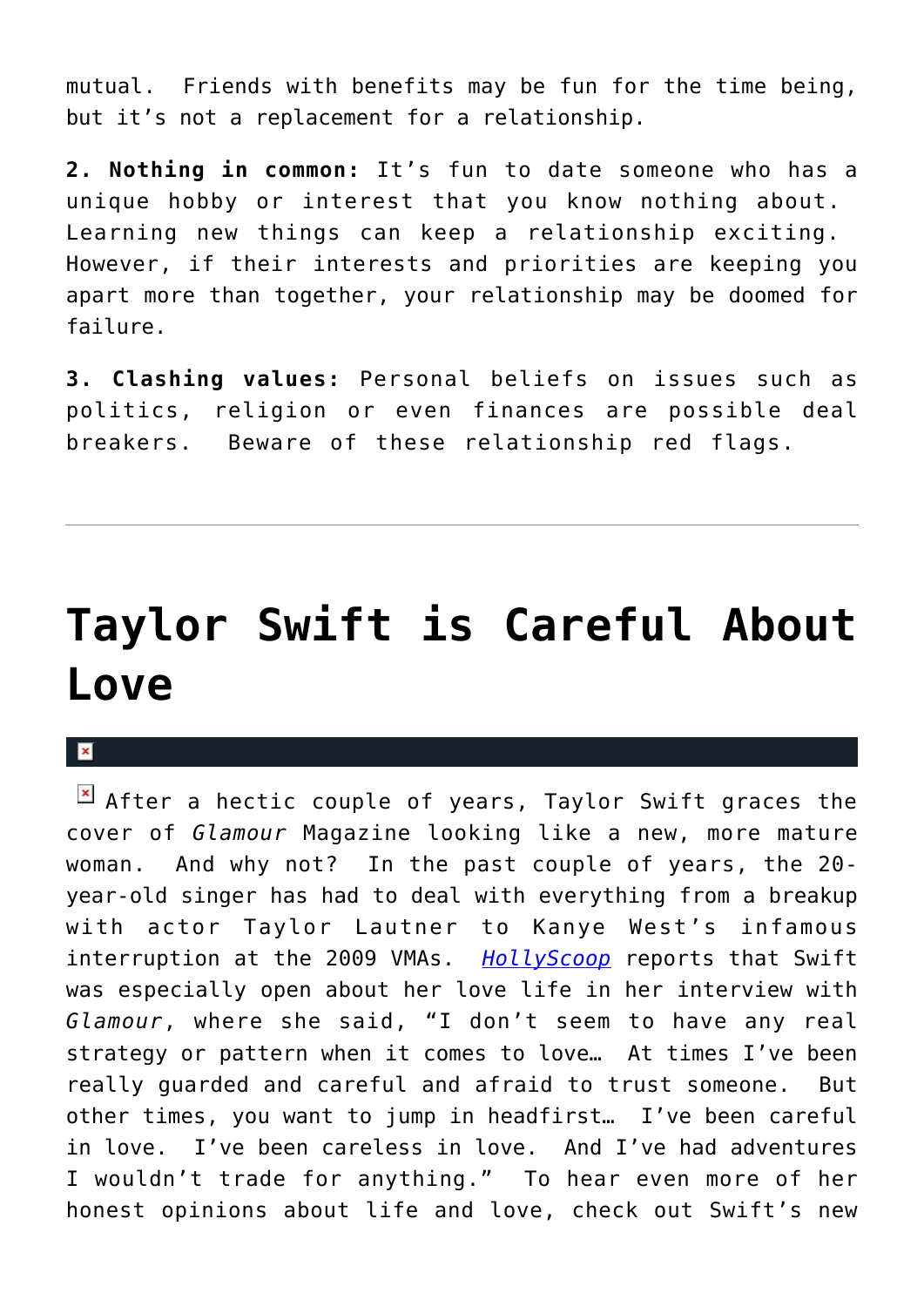mutual. Friends with benefits may be fun for the time being, but it's not a replacement for a relationship.

**2. Nothing in common:** It's fun to date someone who has a unique hobby or interest that you know nothing about. Learning new things can keep a relationship exciting. However, if their interests and priorities are keeping you apart more than together, your relationship may be doomed for failure.

**3. Clashing values:** Personal beliefs on issues such as politics, religion or even finances are possible deal breakers. Beware of these relationship red flags.

# **[Taylor Swift is Careful About](https://cupidspulse.com/5077/taylor-swift-is-careful-about-love/) [Love](https://cupidspulse.com/5077/taylor-swift-is-careful-about-love/)**

 $\mathbf{x}$ 

 $\boxed{\times}$  After a hectic couple of years, Taylor Swift graces the cover of *Glamour* Magazine looking like a new, more mature woman. And why not? In the past couple of years, the 20 year-old singer has had to deal with everything from a breakup with actor Taylor Lautner to Kanye West's infamous interruption at the 2009 VMAs. *[HollyScoop](http://www.hollyscoop.com/taylor-swift/taylor-swift-ive-been-careful-and-careless-in-love_25312.aspx)* reports that Swift was especially open about her love life in her interview with *Glamour*, where she said, "I don't seem to have any real strategy or pattern when it comes to love… At times I've been really guarded and careful and afraid to trust someone. But other times, you want to jump in headfirst… I've been careful in love. I've been careless in love. And I've had adventures I wouldn't trade for anything." To hear even more of her honest opinions about life and love, check out Swift's new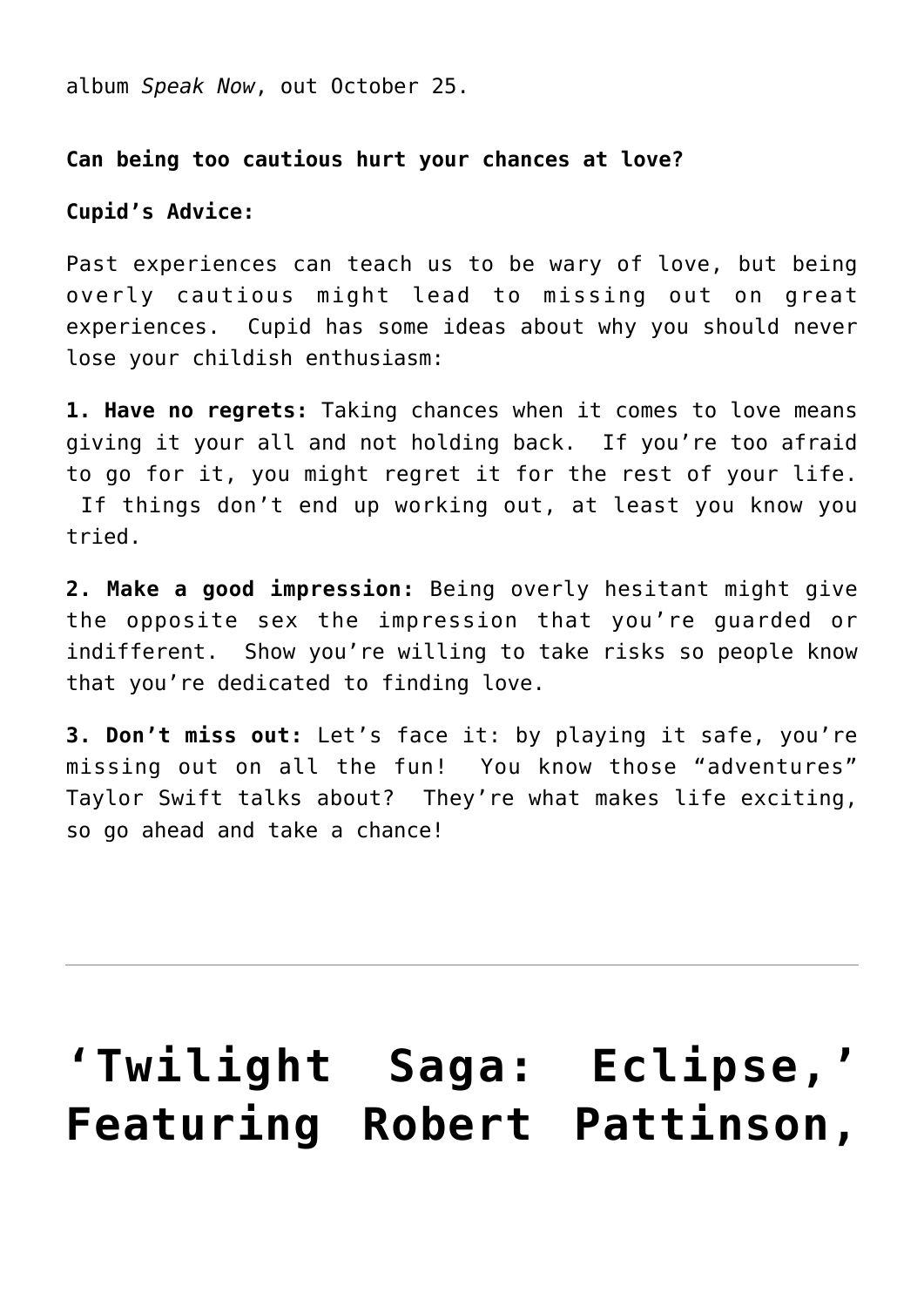album *Speak Now*, out October 25.

#### **Can being too cautious hurt your chances at love?**

#### **Cupid's Advice:**

Past experiences can teach us to be wary of love, but being overly cautious might lead to missing out on great experiences. Cupid has some ideas about why you should never lose your childish enthusiasm:

**1. Have no regrets:** Taking chances when it comes to love means giving it your all and not holding back. If you're too afraid to go for it, you might regret it for the rest of your life. If things don't end up working out, at least you know you tried.

**2. Make a good impression:** Being overly hesitant might give the opposite sex the impression that you're guarded or indifferent. Show you're willing to take risks so people know that you're dedicated to finding love.

**3. Don't miss out:** Let's face it: by playing it safe, you're missing out on all the fun! You know those "adventures" Taylor Swift talks about? They're what makes life exciting, so go ahead and take a chance!

# **['Twilight Saga: Eclipse,'](https://cupidspulse.com/820/movie-preview-twilight-sage-eclipse/) [Featuring Robert Pattinson,](https://cupidspulse.com/820/movie-preview-twilight-sage-eclipse/)**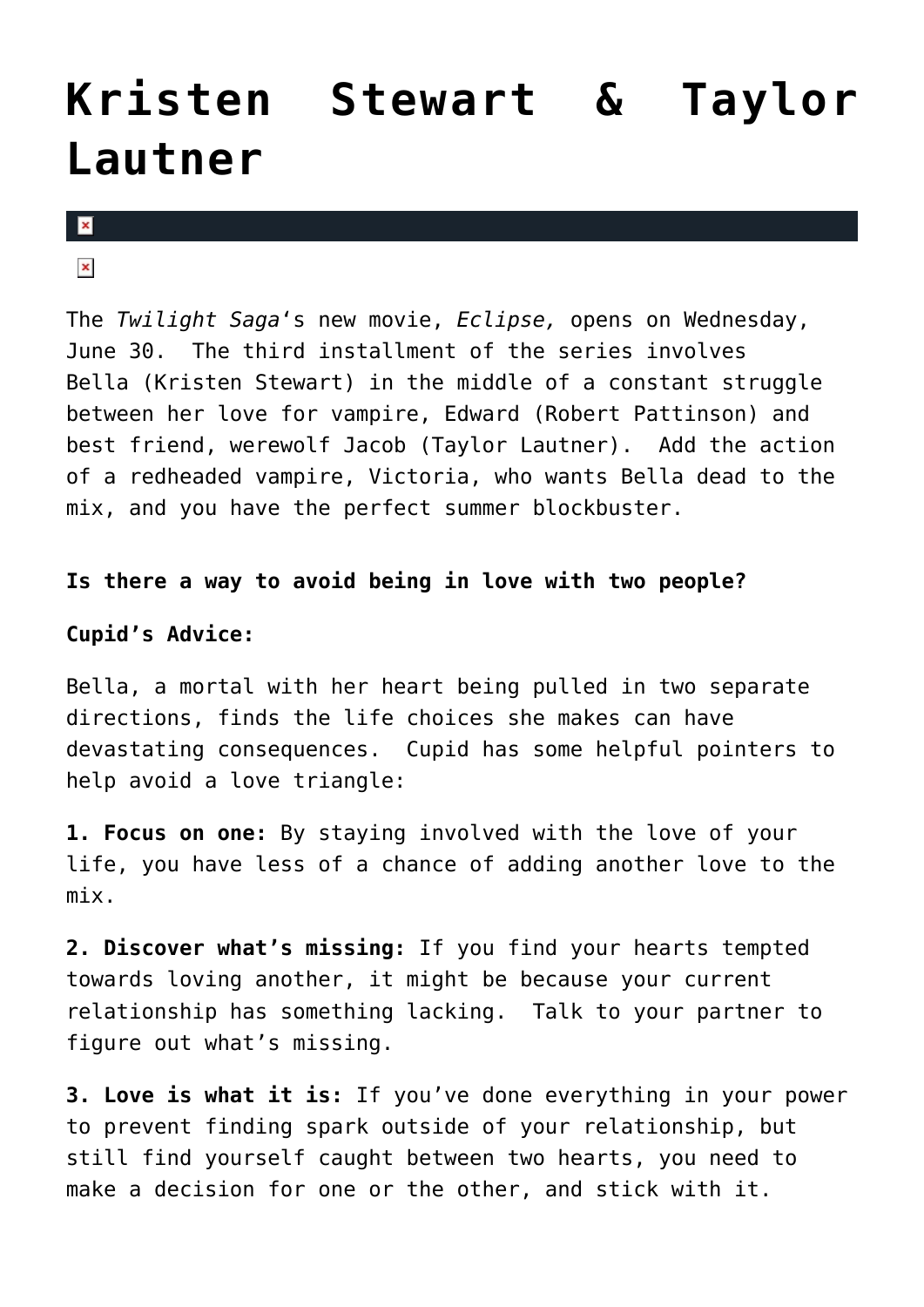# **[Kristen Stewart & Taylor](https://cupidspulse.com/820/movie-preview-twilight-sage-eclipse/) [Lautner](https://cupidspulse.com/820/movie-preview-twilight-sage-eclipse/)**

 $\mathbf x$ 

### $\pmb{\times}$

The *Twilight Saga*'s new movie, *Eclipse,* opens on Wednesday, June 30. The third installment of the series involves Bella (Kristen Stewart) in the middle of a constant struggle between her love for vampire, Edward (Robert Pattinson) and best friend, werewolf Jacob (Taylor Lautner). Add the action of a redheaded vampire, Victoria, who wants Bella dead to the mix, and you have the perfect summer blockbuster.

#### **Is there a way to avoid being in love with two people?**

#### **Cupid's Advice:**

Bella, a mortal with her heart being pulled in two separate directions, finds the life choices she makes can have devastating consequences. Cupid has some helpful pointers to help avoid a love triangle:

**1. Focus on one:** By staying involved with the love of your life, you have less of a chance of adding another love to the mix.

**2. Discover what's missing:** If you find your hearts tempted towards loving another, it might be because your current relationship has something lacking. Talk to your partner to figure out what's missing.

**3. Love is what it is:** If you've done everything in your power to prevent finding spark outside of your relationship, but still find yourself caught between two hearts, you need to make a decision for one or the other, and stick with it.